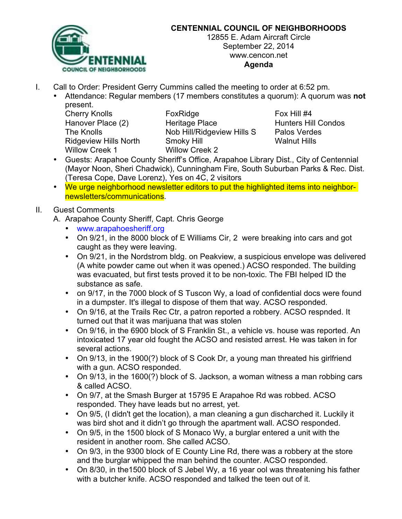

# **CENTENNIAL COUNCIL OF NEIGHBORHOODS**

12855 E. Adam Aircraft Circle September 22, 2014 www.cencon.net **Agenda**

- I. Call to Order: President Gerry Cummins called the meeting to order at 6:52 pm.
	- Attendance: Regular members (17 members constitutes a quorum): A quorum was **not** present.

Willow Creek 1 Willow Creek 2

Cherry Knolls **FoxRidge** Fox Hill #4 Hanover Place (2) The Heritage Place The Hunters Hill Condos The Knolls **Nob Hill/Ridgeview Hills S** Palos Verdes Ridgeview Hills North Smoky Hill Smoth Walnut Hills

- Guests: Arapahoe County Sheriff's Office, Arapahoe Library Dist., City of Centennial (Mayor Noon, Sheri Chadwick), Cunningham Fire, South Suburban Parks & Rec. Dist. (Teresa Cope, Dave Lorenz), Yes on 4C, 2 visitors
- We urge neighborhood newsletter editors to put the highlighted items into neighbornewsletters/communications.

### II. Guest Comments

A. Arapahoe County Sheriff, Capt. Chris George

- www.arapahoesheriff.org
- On 9/21, in the 8000 block of E Williams Cir, 2 were breaking into cars and got caught as they were leaving.
- On 9/21, in the Nordstrom bldg. on Peakview, a suspicious envelope was delivered (A white powder came out when it was opened.) ACSO responded. The building was evacuated, but first tests proved it to be non-toxic. The FBI helped ID the substance as safe.
- on 9/17, in the 7000 block of S Tuscon Wy, a load of confidential docs were found in a dumpster. It's illegal to dispose of them that way. ACSO responded.
- On 9/16, at the Trails Rec Ctr, a patron reported a robbery. ACSO respnded. It turned out that it was marijuana that was stolen
- On 9/16, in the 6900 block of S Franklin St., a vehicle vs. house was reported. An intoxicated 17 year old fought the ACSO and resisted arrest. He was taken in for several actions.
- On 9/13, in the 1900(?) block of S Cook Dr, a young man threated his girlfriend with a gun. ACSO responded.
- On 9/13, in the 1600(?) block of S. Jackson, a woman witness a man robbing cars & called ACSO.
- On 9/7, at the Smash Burger at 15795 E Arapahoe Rd was robbed. ACSO responded. They have leads but no arrest, yet.
- On 9/5, (I didn't get the location), a man cleaning a gun discharched it. Luckily it was bird shot and it didn't go through the apartment wall. ACSO responded.
- On 9/5, in the 1500 block of S Monaco Wy, a burglar entered a unit with the resident in another room. She called ACSO.
- On 9/3, in the 9300 block of E County Line Rd, there was a robbery at the store and the burglar whipped the man behind the counter. ACSO responded.
- On 8/30, in the1500 block of S Jebel Wy, a 16 year ool was threatening his father with a butcher knife. ACSO responded and talked the teen out of it.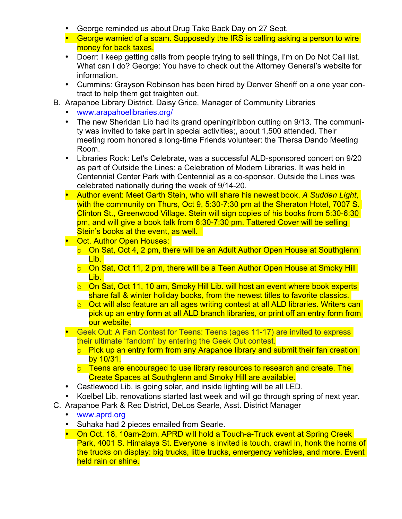- George reminded us about Drug Take Back Day on 27 Sept.
- George warnied of a scam. Supposedly the IRS is calling asking a person to wire money for back taxes.
- Doerr: I keep getting calls from people trying to sell things, I'm on Do Not Call list. What can I do? George: You have to check out the Attorney General's website for information.
- Cummins: Grayson Robinson has been hired by Denver Sheriff on a one year contract to help them get traighten out.
- B. Arapahoe Library District, Daisy Grice, Manager of Community Libraries
	- www.arapahoelibraries.org/
	- The new Sheridan Lib had its grand opening/ribbon cutting on 9/13. The community was invited to take part in special activities;, about 1,500 attended. Their meeting room honored a long-time Friends volunteer: the Thersa Dando Meeting Room.
	- Libraries Rock: Let's Celebrate, was a successful ALD-sponsored concert on 9/20 as part of Outside the Lines: a Celebration of Modern Libraries. It was held in Centennial Center Park with Centennial as a co-sponsor. Outside the Lines was celebrated nationally during the week of 9/14-20.
	- Author event: Meet Garth Stein, who will share his newest book, *A Sudden Light*, with the community on Thurs, Oct 9, 5:30-7:30 pm at the Sheraton Hotel, 7007 S. Clinton St., Greenwood Village. Stein will sign copies of his books from 5:30-6:30 pm, and will give a book talk from 6:30-7:30 pm. Tattered Cover will be selling Stein's books at the event, as well.
	- Oct. Author Open Houses:
		- $\overline{\circ}$  On Sat, Oct 4, 2 pm, there will be an Adult Author Open House at Southglenn Lib.
		- o On Sat, Oct 11, 2 pm, there will be a Teen Author Open House at Smoky Hill Lib.
		- o On Sat, Oct 11, 10 am, Smoky Hill Lib. will host an event where book experts share fall & winter holiday books, from the newest titles to favorite classics.
		- o Oct will also feature an all ages writing contest at all ALD libraries. Writers can pick up an entry form at all ALD branch libraries, or print off an entry form from our website.
	- Geek Out: A Fan Contest for Teens: Teens (ages 11-17) are invited to express their ultimate "fandom" by entering the Geek Out contest.
		- o Pick up an entry form from any Arapahoe library and submit their fan creation by 10/31.
		- $\circ$  Teens are encouraged to use library resources to research and create. The Create Spaces at Southglenn and Smoky Hill are available.
	- Castlewood Lib. is going solar, and inside lighting will be all LED.
	- Koelbel Lib. renovations started last week and will go through spring of next year.
- C. Arapahoe Park & Rec District, DeLos Searle, Asst. District Manager
	- www.aprd.org
	- Suhaka had 2 pieces emailed from Searle.
	- On Oct. 18, 10am-2pm, APRD will hold a Touch-a-Truck event at Spring Creek Park, 4001 S. Himalaya St. Everyone is invited is touch, crawl in, honk the horns of the trucks on display: big trucks, little trucks, emergency vehicles, and more. Event held rain or shine.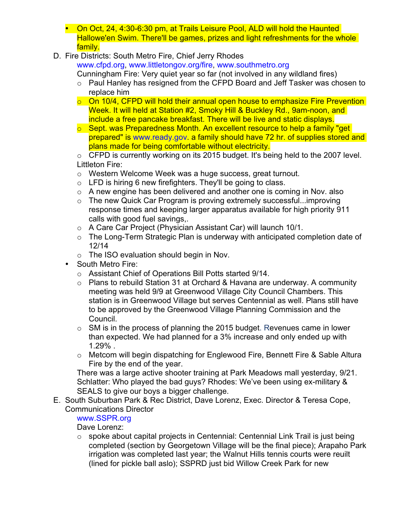- On Oct, 24, 4:30-6:30 pm, at Trails Leisure Pool, ALD will hold the Haunted Hallowe'en Swim. There'll be games, prizes and light refreshments for the whole family.
- D. Fire Districts: South Metro Fire, Chief Jerry Rhodes

www.cfpd.org, www.littletongov.org/fire, www.southmetro.org

Cunningham Fire: Very quiet year so far (not involved in any wildland fires)

- o Paul Hanley has resigned from the CFPD Board and Jeff Tasker was chosen to replace him
- o On 10/4, CFPD will hold their annual open house to emphasize Fire Prevention Week. It will held at Station #2, Smoky Hill & Buckley Rd., 9am-noon, and include a free pancake breakfast. There will be live and static displays.
- $\circ$  Sept. was Preparedness Month. An excellent resource to help a family "get prepared" is www.ready.gov. a family should have 72 hr. of supplies stored and plans made for being comfortable without electricity.

o CFPD is currently working on its 2015 budget. It's being held to the 2007 level. Littleton Fire:

- o Western Welcome Week was a huge success, great turnout.
- $\circ$  LFD is hiring 6 new firefighters. They'll be going to class.
- o A new engine has been delivered and another one is coming in Nov. also
- o The new Quick Car Program is proving extremely successful...improving response times and keeping larger apparatus available for high priority 911 calls with good fuel savings,.
- o A Care Car Project (Physician Assistant Car) will launch 10/1.
- o The Long-Term Strategic Plan is underway with anticipated completion date of 12/14
- o The ISO evaluation should begin in Nov.
- South Metro Fire:
	- o Assistant Chief of Operations Bill Potts started 9/14.
	- $\circ$  Plans to rebuild Station 31 at Orchard & Havana are underway. A community meeting was held 9/9 at Greenwood Village City Council Chambers. This station is in Greenwood Village but serves Centennial as well. Plans still have to be approved by the Greenwood Village Planning Commission and the Council.
	- o SM is in the process of planning the 2015 budget. Revenues came in lower than expected. We had planned for a 3% increase and only ended up with 1.29% .
	- o Metcom will begin dispatching for Englewood Fire, Bennett Fire & Sable Altura Fire by the end of the year.

There was a large active shooter training at Park Meadows mall yesterday, 9/21. Schlatter: Who played the bad guys? Rhodes: We've been using ex-military & SEALS to give our boys a bigger challenge.

E. South Suburban Park & Rec District, Dave Lorenz, Exec. Director & Teresa Cope, Communications Director

www.SSPR.org

Dave Lorenz:

o spoke about capital projects in Centennial: Centennial Link Trail is just being completed (section by Georgetown Village will be the final piece); Arapaho Park irrigation was completed last year; the Walnut Hills tennis courts were reuilt (lined for pickle ball aslo); SSPRD just bid Willow Creek Park for new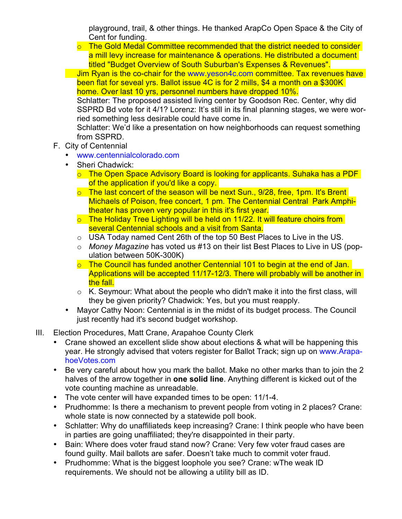playground, trail, & other things. He thanked ArapCo Open Space & the City of Cent for funding.

 $\circ$  The Gold Medal Committee recommended that the district needed to consider a mill levy increase for maintenance & operations. He distributed a document titled "Budget Overview of South Suburban's Expenses & Revenues".

Jim Ryan is the co-chair for the www.yeson4c.com committee. Tax revenues have been flat for seveal yrs. Ballot issue 4C is for 2 mills, \$4 a month on a \$300K home. Over last 10 yrs, personnel numbers have dropped 10%.

Schlatter: The proposed assisted living center by Goodson Rec. Center, why did SSPRD Bd vote for it 4/1? Lorenz: It's still in its final planning stages, we were worried something less desirable could have come in.

Schlatter: We'd like a presentation on how neighborhoods can request something from SSPRD.

- F. City of Centennial
	- www.centennialcolorado.com
	- Sheri Chadwick:
		- o The Open Space Advisory Board is looking for applicants. Suhaka has a PDF of the application if you'd like a copy.
		- $\circ$  The last concert of the season will be next Sun., 9/28, free, 1pm. It's Brent Michaels of Poison, free concert, 1 pm. The Centennial Central Park Amphitheater has proven very popular in this it's first year.
		- o The Holiday Tree Lighting will be held on 11/22. It will feature choirs from several Centennial schools and a visit from Santa.
		- o USA Today named Cent 26th of the top 50 Best Places to Live in the US.
		- o *Money Magazine* has voted us #13 on their list Best Places to Live in US (population between 50K-300K)
		- $\circ$  The Council has funded another Centennial 101 to begin at the end of Jan. Applications will be accepted 11/17-12/3. There will probably will be another in the fall.
		- $\circ$  K. Seymour: What about the people who didn't make it into the first class, will they be given priority? Chadwick: Yes, but you must reapply.
	- Mayor Cathy Noon: Centennial is in the midst of its budget process. The Council just recently had it's second budget workshop.
- III. Election Procedures, Matt Crane, Arapahoe County Clerk
	- Crane showed an excellent slide show about elections & what will be happening this year. He strongly advised that voters register for Ballot Track; sign up on www.ArapahoeVotes.com
	- Be very careful about how you mark the ballot. Make no other marks than to join the 2 halves of the arrow together in **one solid line**. Anything different is kicked out of the vote counting machine as unreadable.
	- The vote center will have expanded times to be open: 11/1-4.
	- Prudhomme: Is there a mechanism to prevent people from voting in 2 places? Crane: whole state is now connected by a statewide poll book.
	- Schlatter: Why do unaffiliateds keep increasing? Crane: I think people who have been in parties are going unaffiliated; they're disappointed in their party.
	- Bain: Where does voter fraud stand now? Crane: Very few voter fraud cases are found guilty. Mail ballots are safer. Doesn't take much to commit voter fraud.
	- Prudhomme: What is the biggest loophole you see? Crane: wThe weak ID requirements. We should not be allowing a utility bill as ID.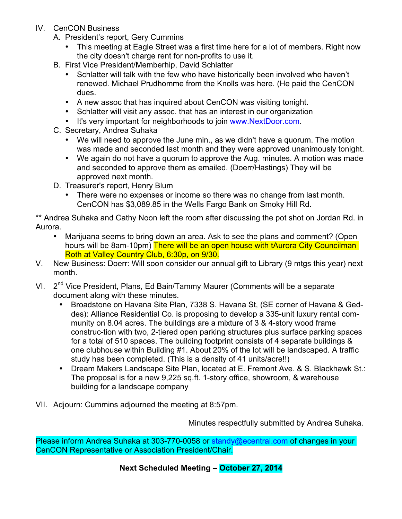- IV. CenCON Business
	- A. President's report, Gery Cummins
		- This meeting at Eagle Street was a first time here for a lot of members. Right now the city doesn't charge rent for non-profits to use it.
	- B. First Vice President/Memberhip, David Schlatter
		- Schlatter will talk with the few who have historically been involved who haven't renewed. Michael Prudhomme from the Knolls was here. (He paid the CenCON dues.
		- A new assoc that has inquired about CenCON was visiting tonight.
		- Schlatter will visit any assoc. that has an interest in our organization
		- It's very important for neighborhoods to join www.NextDoor.com.
	- C. Secretary, Andrea Suhaka
		- We will need to approve the June min., as we didn't have a quorum. The motion was made and seconded last month and they were approved unanimously tonight.
		- We again do not have a quorum to approve the Aug. minutes. A motion was made and seconded to approve them as emailed. (Doerr/Hastings) They will be approved next month.
	- D. Treasurer's report, Henry Blum
		- There were no expenses or income so there was no change from last month. CenCON has \$3,089.85 in the Wells Fargo Bank on Smoky Hill Rd.

\*\* Andrea Suhaka and Cathy Noon left the room after discussing the pot shot on Jordan Rd. in Aurora.

- Marijuana seems to bring down an area. Ask to see the plans and comment? (Open hours will be 8am-10pm) There will be an open house with tAurora City Councilman Roth at Valley Country Club, 6:30p, on 9/30.
- V. New Business: Doerr: Will soon consider our annual gift to Library (9 mtgs this year) next month.
- VI. 2<sup>nd</sup> Vice President, Plans, Ed Bain/Tammy Maurer (Comments will be a separate document along with these minutes.
	- Broadstone on Havana Site Plan, 7338 S. Havana St, (SE corner of Havana & Geddes): Alliance Residential Co. is proposing to develop a 335-unit luxury rental community on 8.04 acres. The buildings are a mixture of 3 & 4-story wood frame construc-tion with two, 2-tiered open parking structures plus surface parking spaces for a total of 510 spaces. The building footprint consists of 4 separate buildings & one clubhouse within Building #1. About 20% of the lot will be landscaped. A traffic study has been completed. (This is a density of 41 units/acre!!)
	- Dream Makers Landscape Site Plan, located at E. Fremont Ave. & S. Blackhawk St.: The proposal is for a new 9,225 sq.ft. 1-story office, showroom, & warehouse building for a landscape company
- VII. Adjourn: Cummins adjourned the meeting at 8:57pm.

Minutes respectfully submitted by Andrea Suhaka.

Please inform Andrea Suhaka at 303-770-0058 or standy@ecentral.com of changes in your CenCON Representative or Association President/Chair.

**Next Scheduled Meeting – October 27, 2014**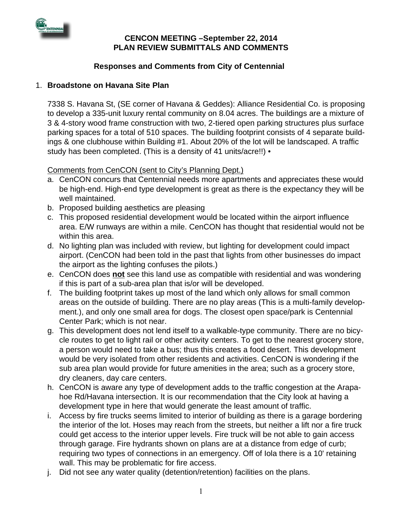

#### **CENCON MEETING –September 22, 2014 PLAN REVIEW SUBMITTALS AND COMMENTS**

### **Responses and Comments from City of Centennial**

### 1. **Broadstone on Havana Site Plan**

7338 S. Havana St, (SE corner of Havana & Geddes): Alliance Residential Co. is proposing to develop a 335-unit luxury rental community on 8.04 acres. The buildings are a mixture of 3 & 4-story wood frame construction with two, 2-tiered open parking structures plus surface parking spaces for a total of 510 spaces. The building footprint consists of 4 separate buildings & one clubhouse within Building #1. About 20% of the lot will be landscaped. A traffic study has been completed. (This is a density of 41 units/acre!!) •

Comments from CenCON (sent to City's Planning Dept.)

- a. CenCON concurs that Centennial needs more apartments and appreciates these would be high-end. High-end type development is great as there is the expectancy they will be well maintained.
- b. Proposed building aesthetics are pleasing
- c. This proposed residential development would be located within the airport influence area. E/W runways are within a mile. CenCON has thought that residential would not be within this area.
- d. No lighting plan was included with review, but lighting for development could impact airport. (CenCON had been told in the past that lights from other businesses do impact the airport as the lighting confuses the pilots.)
- e. CenCON does **not** see this land use as compatible with residential and was wondering if this is part of a sub-area plan that is/or will be developed.
- f. The building footprint takes up most of the land which only allows for small common areas on the outside of building. There are no play areas (This is a multi-family development.), and only one small area for dogs. The closest open space/park is Centennial Center Park; which is not near.
- g. This development does not lend itself to a walkable-type community. There are no bicycle routes to get to light rail or other activity centers. To get to the nearest grocery store, a person would need to take a bus; thus this creates a food desert. This development would be very isolated from other residents and activities. CenCON is wondering if the sub area plan would provide for future amenities in the area; such as a grocery store, dry cleaners, day care centers.
- h. CenCON is aware any type of development adds to the traffic congestion at the Arapahoe Rd/Havana intersection. It is our recommendation that the City look at having a development type in here that would generate the least amount of traffic.
- i. Access by fire trucks seems limited to interior of building as there is a garage bordering the interior of the lot. Hoses may reach from the streets, but neither a lift nor a fire truck could get access to the interior upper levels. Fire truck will be not able to gain access through garage. Fire hydrants shown on plans are at a distance from edge of curb; requiring two types of connections in an emergency. Off of Iola there is a 10' retaining wall. This may be problematic for fire access.
- j. Did not see any water quality (detention/retention) facilities on the plans.